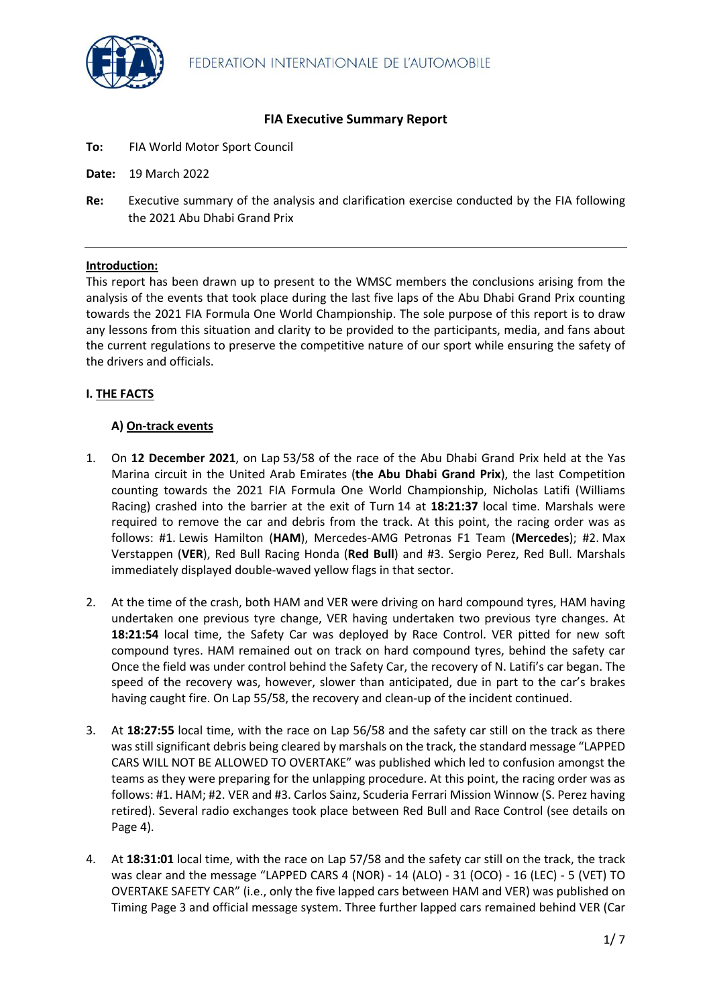

# **FIA Executive Summary Report**

- **To:** FIA World Motor Sport Council
- **Date:** 19 March 2022
- **Re:** Executive summary of the analysis and clarification exercise conducted by the FIA following the 2021 Abu Dhabi Grand Prix

## **Introduction:**

This report has been drawn up to present to the WMSC members the conclusions arising from the analysis of the events that took place during the last five laps of the Abu Dhabi Grand Prix counting towards the 2021 FIA Formula One World Championship. The sole purpose of this report is to draw any lessons from this situation and clarity to be provided to the participants, media, and fans about the current regulations to preserve the competitive nature of our sport while ensuring the safety of the drivers and officials.

# **I. THE FACTS**

## **A) On-track events**

- 1. On **12 December 2021**, on Lap 53/58 of the race of the Abu Dhabi Grand Prix held at the Yas Marina circuit in the United Arab Emirates (**the Abu Dhabi Grand Prix**), the last Competition counting towards the 2021 FIA Formula One World Championship, Nicholas Latifi (Williams Racing) crashed into the barrier at the exit of Turn 14 at **18:21:37** local time. Marshals were required to remove the car and debris from the track. At this point, the racing order was as follows: #1. Lewis Hamilton (**HAM**), Mercedes-AMG Petronas F1 Team (**Mercedes**); #2. Max Verstappen (**VER**), Red Bull Racing Honda (**Red Bull**) and #3. Sergio Perez, Red Bull. Marshals immediately displayed double-waved yellow flags in that sector.
- 2. At the time of the crash, both HAM and VER were driving on hard compound tyres, HAM having undertaken one previous tyre change, VER having undertaken two previous tyre changes. At **18:21:54** local time, the Safety Car was deployed by Race Control. VER pitted for new soft compound tyres. HAM remained out on track on hard compound tyres, behind the safety car Once the field was under control behind the Safety Car, the recovery of N. Latifi's car began. The speed of the recovery was, however, slower than anticipated, due in part to the car's brakes having caught fire. On Lap 55/58, the recovery and clean-up of the incident continued.
- 3. At **18:27:55** local time, with the race on Lap 56/58 and the safety car still on the track as there was still significant debris being cleared by marshals on the track, the standard message "LAPPED CARS WILL NOT BE ALLOWED TO OVERTAKE" was published which led to confusion amongst the teams as they were preparing for the unlapping procedure. At this point, the racing order was as follows: #1. HAM; #2. VER and #3. Carlos Sainz, Scuderia Ferrari Mission Winnow (S. Perez having retired). Several radio exchanges took place between Red Bull and Race Control (see details on Page 4).
- 4. At **18:31:01** local time, with the race on Lap 57/58 and the safety car still on the track, the track was clear and the message "LAPPED CARS 4 (NOR) - 14 (ALO) - 31 (OCO) - 16 (LEC) - 5 (VET) TO OVERTAKE SAFETY CAR" (i.e., only the five lapped cars between HAM and VER) was published on Timing Page 3 and official message system. Three further lapped cars remained behind VER (Car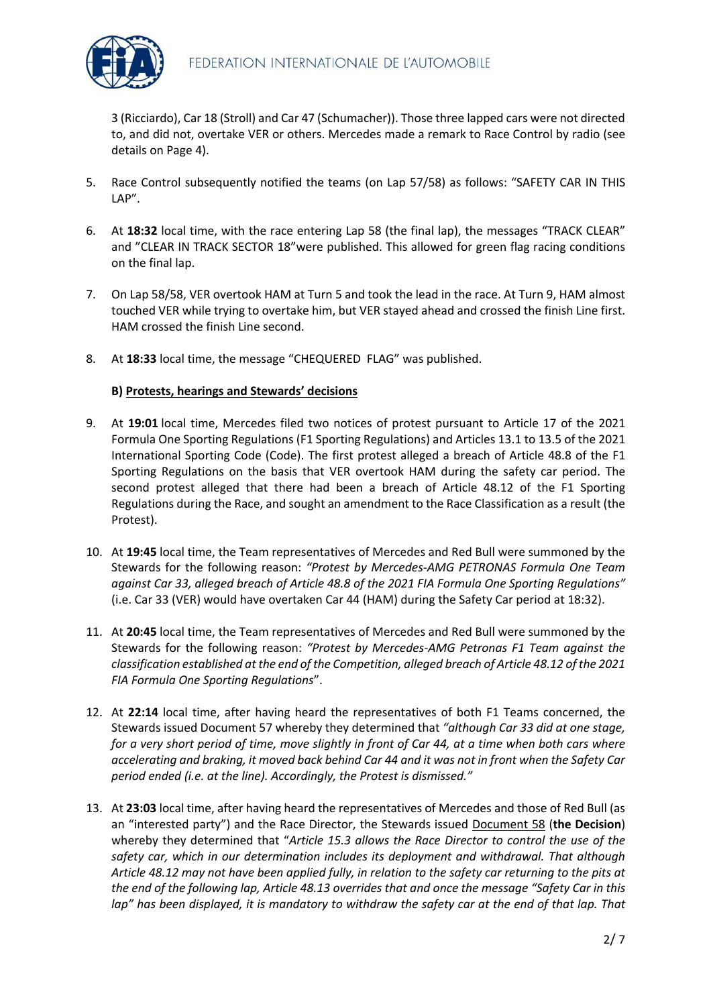

3 (Ricciardo), Car 18 (Stroll) and Car 47 (Schumacher)). Those three lapped cars were not directed to, and did not, overtake VER or others. Mercedes made a remark to Race Control by radio (see details on Page 4).

- 5. Race Control subsequently notified the teams (on Lap 57/58) as follows: "SAFETY CAR IN THIS LAP".
- 6. At **18:32** local time, with the race entering Lap 58 (the final lap), the messages "TRACK CLEAR" and "CLEAR IN TRACK SECTOR 18"were published. This allowed for green flag racing conditions on the final lap.
- 7. On Lap 58/58, VER overtook HAM at Turn 5 and took the lead in the race. At Turn 9, HAM almost touched VER while trying to overtake him, but VER stayed ahead and crossed the finish Line first. HAM crossed the finish Line second.
- 8. At **18:33** local time, the message "CHEQUERED FLAG" was published.

# **B) Protests, hearings and Stewards' decisions**

- 9. At **19:01** local time, Mercedes filed two notices of protest pursuant to Article 17 of the 2021 Formula One Sporting Regulations (F1 Sporting Regulations) and Articles 13.1 to 13.5 of the 2021 International Sporting Code (Code). The first protest alleged a breach of Article 48.8 of the F1 Sporting Regulations on the basis that VER overtook HAM during the safety car period. The second protest alleged that there had been a breach of Article 48.12 of the F1 Sporting Regulations during the Race, and sought an amendment to the Race Classification as a result (the Protest).
- 10. At **19:45** local time, the Team representatives of Mercedes and Red Bull were summoned by the Stewards for the following reason: *"Protest by Mercedes-AMG PETRONAS Formula One Team against Car 33, alleged breach of Article 48.8 of the 2021 FIA Formula One Sporting Regulations"* (i.e. Car 33 (VER) would have overtaken Car 44 (HAM) during the Safety Car period at 18:32).
- 11. At **20:45** local time, the Team representatives of Mercedes and Red Bull were summoned by the Stewards for the following reason: *"Protest by Mercedes-AMG Petronas F1 Team against the classification established at the end of the Competition, alleged breach of Article 48.12 of the 2021 FIA Formula One Sporting Regulations*".
- 12. At **22:14** local time, after having heard the representatives of both F1 Teams concerned, the Stewards issued Document 57 whereby they determined that *"although Car 33 did at one stage, for a very short period of time, move slightly in front of Car 44, at a time when both cars where accelerating and braking, it moved back behind Car 44 and it was not in front when the Safety Car period ended (i.e. at the line). Accordingly, the Protest is dismissed."*
- 13. At **23:03** local time, after having heard the representatives of Mercedes and those of Red Bull (as an "interested party") and the Race Director, the Stewards issued Document 58 (**the Decision**) whereby they determined that "*Article 15.3 allows the Race Director to control the use of the safety car, which in our determination includes its deployment and withdrawal. That although Article 48.12 may not have been applied fully, in relation to the safety car returning to the pits at the end of the following lap, Article 48.13 overrides that and once the message "Safety Car in this*  lap" has been displayed, it is mandatory to withdraw the safety car at the end of that lap. That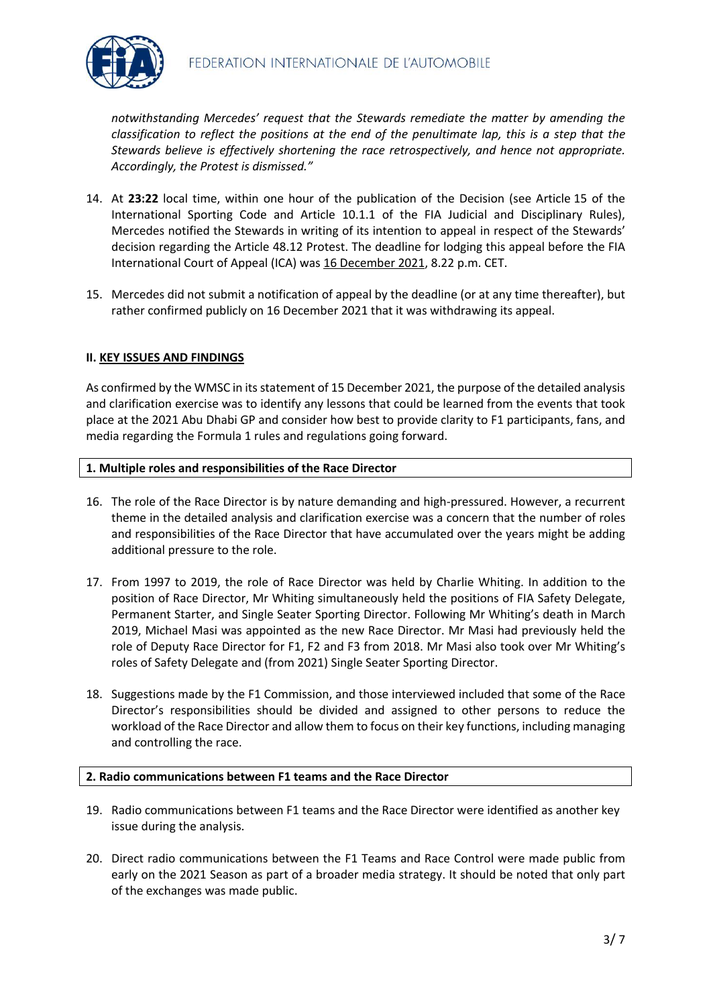

*notwithstanding Mercedes' request that the Stewards remediate the matter by amending the classification to reflect the positions at the end of the penultimate lap, this is a step that the Stewards believe is effectively shortening the race retrospectively, and hence not appropriate. Accordingly, the Protest is dismissed."* 

- 14. At **23:22** local time, within one hour of the publication of the Decision (see Article 15 of the International Sporting Code and Article 10.1.1 of the FIA Judicial and Disciplinary Rules), Mercedes notified the Stewards in writing of its intention to appeal in respect of the Stewards' decision regarding the Article 48.12 Protest. The deadline for lodging this appeal before the FIA International Court of Appeal (ICA) was 16 December 2021, 8.22 p.m. CET.
- 15. Mercedes did not submit a notification of appeal by the deadline (or at any time thereafter), but rather confirmed publicly on 16 December 2021 that it was withdrawing its appeal.

### **II. KEY ISSUES AND FINDINGS**

As confirmed by the WMSC in its statement of 15 December 2021, the purpose of the detailed analysis and clarification exercise was to identify any lessons that could be learned from the events that took place at the 2021 Abu Dhabi GP and consider how best to provide clarity to F1 participants, fans, and media regarding the Formula 1 rules and regulations going forward.

#### **1. Multiple roles and responsibilities of the Race Director**

- 16. The role of the Race Director is by nature demanding and high-pressured. However, a recurrent theme in the detailed analysis and clarification exercise was a concern that the number of roles and responsibilities of the Race Director that have accumulated over the years might be adding additional pressure to the role.
- 17. From 1997 to 2019, the role of Race Director was held by Charlie Whiting. In addition to the position of Race Director, Mr Whiting simultaneously held the positions of FIA Safety Delegate, Permanent Starter, and Single Seater Sporting Director. Following Mr Whiting's death in March 2019, Michael Masi was appointed as the new Race Director. Mr Masi had previously held the role of Deputy Race Director for F1, F2 and F3 from 2018. Mr Masi also took over Mr Whiting's roles of Safety Delegate and (from 2021) Single Seater Sporting Director.
- 18. Suggestions made by the F1 Commission, and those interviewed included that some of the Race Director's responsibilities should be divided and assigned to other persons to reduce the workload of the Race Director and allow them to focus on their key functions, including managing and controlling the race.

#### **2. Radio communications between F1 teams and the Race Director**

- 19. Radio communications between F1 teams and the Race Director were identified as another key issue during the analysis.
- 20. Direct radio communications between the F1 Teams and Race Control were made public from early on the 2021 Season as part of a broader media strategy. It should be noted that only part of the exchanges was made public.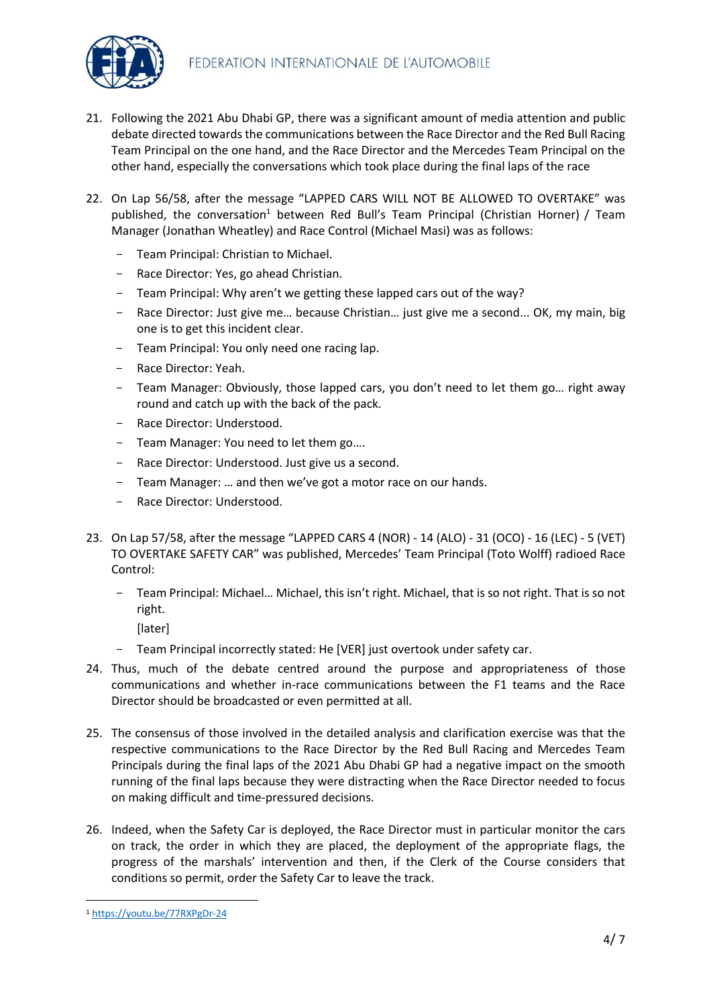

- 21. Following the 2021 Abu Dhabi GP, there was a significant amount of media attention and public debate directed towards the communications between the Race Director and the Red Bull Racing Team Principal on the one hand, and the Race Director and the Mercedes Team Principal on the other hand, especially the conversations which took place during the final laps of the race
- 22. On Lap 56/58, after the message "LAPPED CARS WILL NOT BE ALLOWED TO OVERTAKE" was published, the conversation<sup>1</sup> between Red Bull's Team Principal (Christian Horner) / Team Manager (Jonathan Wheatley) and Race Control (Michael Masi) was as follows:
	- Team Principal: Christian to Michael.
	- Race Director: Yes, go ahead Christian.
	- Team Principal: Why aren't we getting these lapped cars out of the way?
	- Race Director: Just give me… because Christian… just give me a second... OK, my main, big one is to get this incident clear.
	- Team Principal: You only need one racing lap.
	- Race Director: Yeah.
	- Team Manager: Obviously, those lapped cars, you don't need to let them go… right away round and catch up with the back of the pack.
	- Race Director: Understood.
	- Team Manager: You need to let them go....
	- Race Director: Understood. Just give us a second.
	- Team Manager: … and then we've got a motor race on our hands.
	- Race Director: Understood.
- 23. On Lap 57/58, after the message "LAPPED CARS 4 (NOR) 14 (ALO) 31 (OCO) 16 (LEC) 5 (VET) TO OVERTAKE SAFETY CAR" was published, Mercedes' Team Principal (Toto Wolff) radioed Race Control:
	- Team Principal: Michael… Michael, this isn't right. Michael, that is so not right. That is so not right.
		- [later]
	- Team Principal incorrectly stated: He [VER] just overtook under safety car.
- 24. Thus, much of the debate centred around the purpose and appropriateness of those communications and whether in-race communications between the F1 teams and the Race Director should be broadcasted or even permitted at all.
- 25. The consensus of those involved in the detailed analysis and clarification exercise was that the respective communications to the Race Director by the Red Bull Racing and Mercedes Team Principals during the final laps of the 2021 Abu Dhabi GP had a negative impact on the smooth running of the final laps because they were distracting when the Race Director needed to focus on making difficult and time-pressured decisions.
- 26. Indeed, when the Safety Car is deployed, the Race Director must in particular monitor the cars on track, the order in which they are placed, the deployment of the appropriate flags, the progress of the marshals' intervention and then, if the Clerk of the Course considers that conditions so permit, order the Safety Car to leave the track.

<sup>1</sup> https://youtu.be/77RXPgDr-24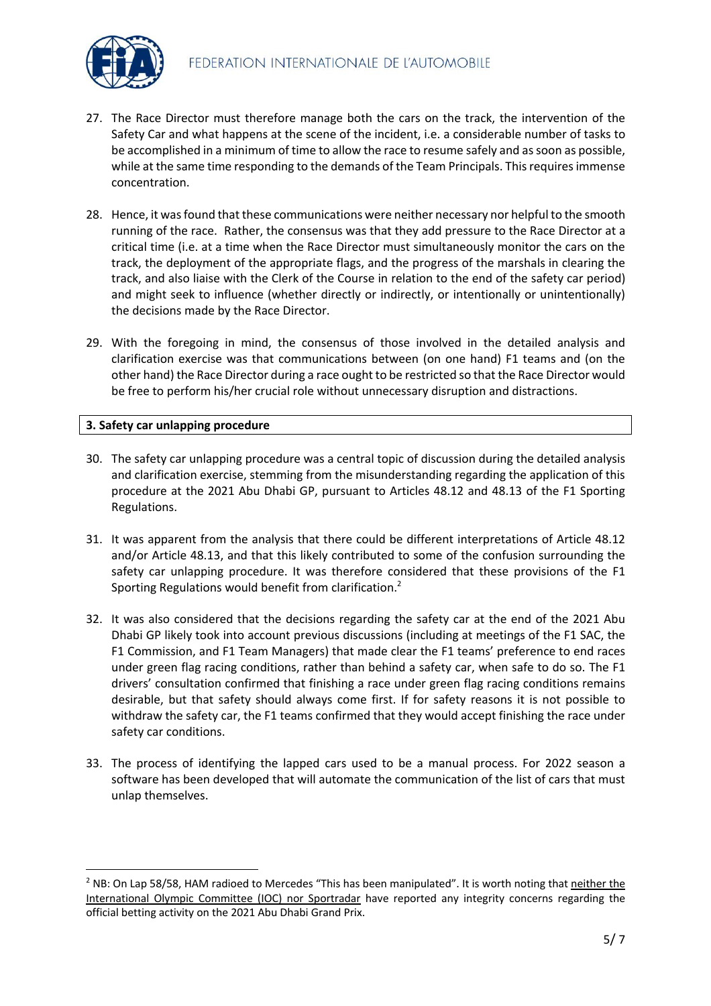

- 27. The Race Director must therefore manage both the cars on the track, the intervention of the Safety Car and what happens at the scene of the incident, i.e. a considerable number of tasks to be accomplished in a minimum of time to allow the race to resume safely and as soon as possible, while at the same time responding to the demands of the Team Principals. This requires immense concentration.
- 28. Hence, it was found that these communications were neither necessary nor helpful to the smooth running of the race. Rather, the consensus was that they add pressure to the Race Director at a critical time (i.e. at a time when the Race Director must simultaneously monitor the cars on the track, the deployment of the appropriate flags, and the progress of the marshals in clearing the track, and also liaise with the Clerk of the Course in relation to the end of the safety car period) and might seek to influence (whether directly or indirectly, or intentionally or unintentionally) the decisions made by the Race Director.
- 29. With the foregoing in mind, the consensus of those involved in the detailed analysis and clarification exercise was that communications between (on one hand) F1 teams and (on the other hand) the Race Director during a race ought to be restricted so that the Race Director would be free to perform his/her crucial role without unnecessary disruption and distractions.

### **3. Safety car unlapping procedure**

- 30. The safety car unlapping procedure was a central topic of discussion during the detailed analysis and clarification exercise, stemming from the misunderstanding regarding the application of this procedure at the 2021 Abu Dhabi GP, pursuant to Articles 48.12 and 48.13 of the F1 Sporting Regulations.
- 31. It was apparent from the analysis that there could be different interpretations of Article 48.12 and/or Article 48.13, and that this likely contributed to some of the confusion surrounding the safety car unlapping procedure. It was therefore considered that these provisions of the F1 Sporting Regulations would benefit from clarification.<sup>2</sup>
- 32. It was also considered that the decisions regarding the safety car at the end of the 2021 Abu Dhabi GP likely took into account previous discussions (including at meetings of the F1 SAC, the F1 Commission, and F1 Team Managers) that made clear the F1 teams' preference to end races under green flag racing conditions, rather than behind a safety car, when safe to do so. The F1 drivers' consultation confirmed that finishing a race under green flag racing conditions remains desirable, but that safety should always come first. If for safety reasons it is not possible to withdraw the safety car, the F1 teams confirmed that they would accept finishing the race under safety car conditions.
- 33. The process of identifying the lapped cars used to be a manual process. For 2022 season a software has been developed that will automate the communication of the list of cars that must unlap themselves.

<sup>2</sup> NB: On Lap 58/58, HAM radioed to Mercedes "This has been manipulated". It is worth noting that neither the International Olympic Committee (IOC) nor Sportradar have reported any integrity concerns regarding the official betting activity on the 2021 Abu Dhabi Grand Prix.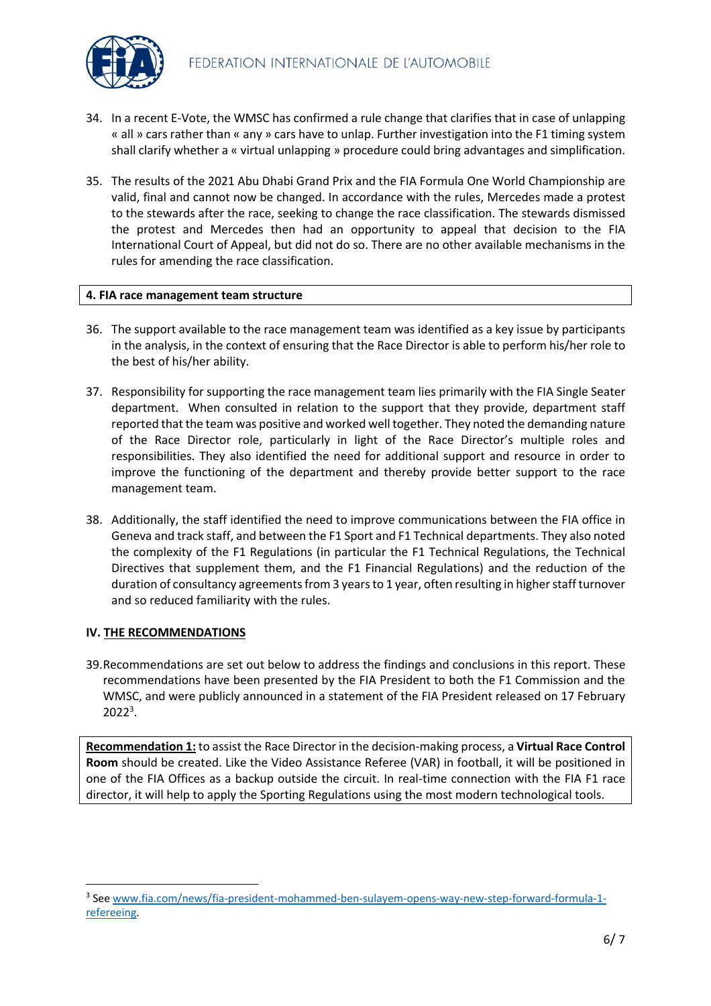- 34. In a recent E-Vote, the WMSC has confirmed a rule change that clarifies that in case of unlapping « all » cars rather than « any » cars have to unlap. Further investigation into the F1 timing system shall clarify whether a « virtual unlapping » procedure could bring advantages and simplification.
- 35. The results of the 2021 Abu Dhabi Grand Prix and the FIA Formula One World Championship are valid, final and cannot now be changed. In accordance with the rules, Mercedes made a protest to the stewards after the race, seeking to change the race classification. The stewards dismissed the protest and Mercedes then had an opportunity to appeal that decision to the FIA International Court of Appeal, but did not do so. There are no other available mechanisms in the rules for amending the race classification.

### **4. FIA race management team structure**

- 36. The support available to the race management team was identified as a key issue by participants in the analysis, in the context of ensuring that the Race Director is able to perform his/her role to the best of his/her ability.
- 37. Responsibility for supporting the race management team lies primarily with the FIA Single Seater department. When consulted in relation to the support that they provide, department staff reported that the team was positive and worked well together. They noted the demanding nature of the Race Director role, particularly in light of the Race Director's multiple roles and responsibilities. They also identified the need for additional support and resource in order to improve the functioning of the department and thereby provide better support to the race management team.
- 38. Additionally, the staff identified the need to improve communications between the FIA office in Geneva and track staff, and between the F1 Sport and F1 Technical departments. They also noted the complexity of the F1 Regulations (in particular the F1 Technical Regulations, the Technical Directives that supplement them, and the F1 Financial Regulations) and the reduction of the duration of consultancy agreements from 3 years to 1 year, often resulting in higher staff turnover and so reduced familiarity with the rules.

## **IV. THE RECOMMENDATIONS**

39.Recommendations are set out below to address the findings and conclusions in this report. These recommendations have been presented by the FIA President to both the F1 Commission and the WMSC, and were publicly announced in a statement of the FIA President released on 17 February 20223 .

**Recommendation 1:** to assist the Race Director in the decision-making process, a **Virtual Race Control Room** should be created. Like the Video Assistance Referee (VAR) in football, it will be positioned in one of the FIA Offices as a backup outside the circuit. In real-time connection with the FIA F1 race director, it will help to apply the Sporting Regulations using the most modern technological tools.

<sup>3</sup> See www.fia.com/news/fia-president-mohammed-ben-sulayem-opens-way-new-step-forward-formula-1 refereeing.